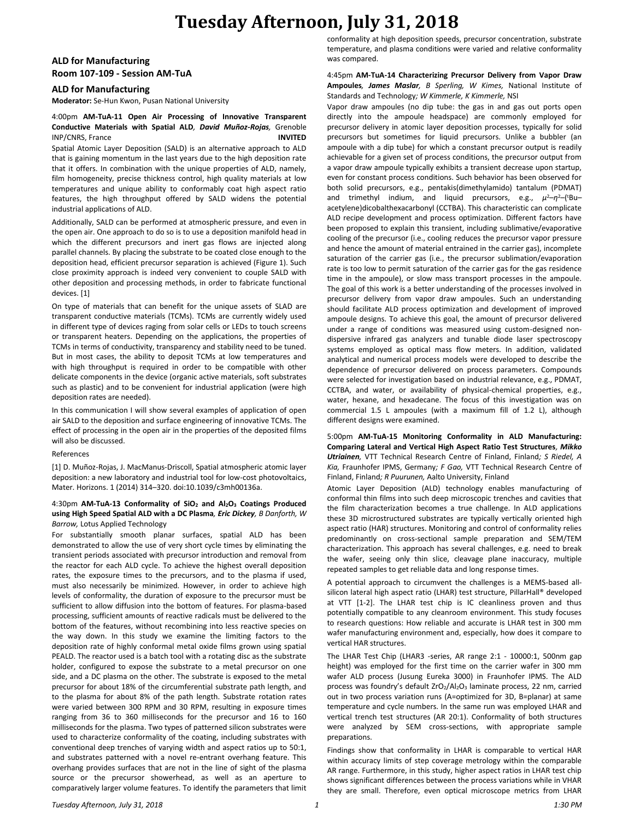# **Tuesday Afternoon, July 31, 2018**

### **ALD for Manufacturing Room 107-109 - Session AM-TuA**

#### **ALD for Manufacturing**

**Moderator:** Se-Hun Kwon, Pusan National University

#### 4:00pm **AM-TuA-11 Open Air Processing of Innovative Transparent Conductive Materials with Spatial ALD***, David Muñoz-Rojas,* Grenoble INP/CNRS, France **INVITED**

Spatial Atomic Layer Deposition (SALD) is an alternative approach to ALD that is gaining momentum in the last years due to the high deposition rate that it offers. In combination with the unique properties of ALD, namely, film homogeneity, precise thickness control, high quality materials at low temperatures and unique ability to conformably coat high aspect ratio features, the high throughput offered by SALD widens the potential industrial applications of ALD.

Additionally, SALD can be performed at atmospheric pressure, and even in the open air. One approach to do so is to use a deposition manifold head in which the different precursors and inert gas flows are injected along parallel channels. By placing the substrate to be coated close enough to the deposition head, efficient precursor separation is achieved (Figure 1). Such close proximity approach is indeed very convenient to couple SALD with other deposition and processing methods, in order to fabricate functional devices. [1]

On type of materials that can benefit for the unique assets of SLAD are transparent conductive materials (TCMs). TCMs are currently widely used in different type of devices raging from solar cells or LEDs to touch screens or transparent heaters. Depending on the applications, the properties of TCMs in terms of conductivity, transparency and stability need to be tuned. But in most cases, the ability to deposit TCMs at low temperatures and with high throughput is required in order to be compatible with other delicate components in the device (organic active materials, soft substrates such as plastic) and to be convenient for industrial application (were high deposition rates are needed).

In this communication I will show several examples of application of open air SALD to the deposition and surface engineering of innovative TCMs. The effect of processing in the open air in the properties of the deposited films will also be discussed.

#### References

[1] D. Muñoz-Rojas, J. MacManus-Driscoll, Spatial atmospheric atomic layer deposition: a new laboratory and industrial tool for low-cost photovoltaics, Mater. Horizons. 1 (2014) 314–320. doi:10.1039/c3mh00136a.

#### 4:30pm **AM-TuA-13 Conformality of SiO<sup>2</sup> and Al2O<sup>3</sup> Coatings Produced using High Speed Spatial ALD with a DC Plasma***, Eric Dickey, B Danforth, W Barrow,* Lotus Applied Technology

For substantially smooth planar surfaces, spatial ALD has been demonstrated to allow the use of very short cycle times by eliminating the transient periods associated with precursor introduction and removal from the reactor for each ALD cycle. To achieve the highest overall deposition rates, the exposure times to the precursors, and to the plasma if used, must also necessarily be minimized. However, in order to achieve high levels of conformality, the duration of exposure to the precursor must be sufficient to allow diffusion into the bottom of features. For plasma-based processing, sufficient amounts of reactive radicals must be delivered to the bottom of the features, without recombining into less reactive species on the way down. In this study we examine the limiting factors to the deposition rate of highly conformal metal oxide films grown using spatial PEALD. The reactor used is a batch tool with a rotating disc as the substrate holder, configured to expose the substrate to a metal precursor on one side, and a DC plasma on the other. The substrate is exposed to the metal precursor for about 18% of the circumferential substrate path length, and to the plasma for about 8% of the path length. Substrate rotation rates were varied between 300 RPM and 30 RPM, resulting in exposure times ranging from 36 to 360 milliseconds for the precursor and 16 to 160 milliseconds for the plasma. Two types of patterned silicon substrates were used to characterize conformality of the coating, including substrates with conventional deep trenches of varying width and aspect ratios up to 50:1, and substrates patterned with a novel re-entrant overhang feature. This overhang provides surfaces that are not in the line of sight of the plasma source or the precursor showerhead, as well as an aperture to comparatively larger volume features. To identify the parameters that limit conformality at high deposition speeds, precursor concentration, substrate temperature, and plasma conditions were varied and relative conformality was compared.

#### 4:45pm **AM-TuA-14 Characterizing Precursor Delivery from Vapor Draw Ampoules***, James Maslar, B Sperling, W Kimes,* National Institute of Standards and Technology*; W Kimmerle, K Kimmerle,* NSI

Vapor draw ampoules (no dip tube: the gas in and gas out ports open directly into the ampoule headspace) are commonly employed for precursor delivery in atomic layer deposition processes, typically for solid precursors but sometimes for liquid precursors. Unlike a bubbler (an ampoule with a dip tube) for which a constant precursor output is readily achievable for a given set of process conditions, the precursor output from a vapor draw ampoule typically exhibits a transient decrease upon startup, even for constant process conditions. Such behavior has been observed for both solid precursors, e.g., pentakis(dimethylamido) tantalum (PDMAT) and trimethyl indium, and liquid precursors, e.g.,  $\mu^2 - \eta^2$ -(<sup>t</sup>Buacetylene)dicobalthexacarbonyl (CCTBA). This characteristic can complicate ALD recipe development and process optimization. Different factors have been proposed to explain this transient, including sublimative/evaporative cooling of the precursor (i.e., cooling reduces the precursor vapor pressure and hence the amount of material entrained in the carrier gas), incomplete saturation of the carrier gas (i.e., the precursor sublimation/evaporation rate is too low to permit saturation of the carrier gas for the gas residence time in the ampoule), or slow mass transport processes in the ampoule. The goal of this work is a better understanding of the processes involved in precursor delivery from vapor draw ampoules. Such an understanding should facilitate ALD process optimization and development of improved ampoule designs. To achieve this goal, the amount of precursor delivered under a range of conditions was measured using custom-designed nondispersive infrared gas analyzers and tunable diode laser spectroscopy systems employed as optical mass flow meters. In addition, validated analytical and numerical process models were developed to describe the dependence of precursor delivered on process parameters. Compounds were selected for investigation based on industrial relevance, e.g., PDMAT, CCTBA, and water, or availability of physical-chemical properties, e.g., water, hexane, and hexadecane. The focus of this investigation was on commercial 1.5 L ampoules (with a maximum fill of 1.2 L), although different designs were examined.

5:00pm **AM-TuA-15 Monitoring Conformality in ALD Manufacturing: Comparing Lateral and Vertical High Aspect Ratio Test Structures***, Mikko Utriainen,* VTT Technical Research Centre of Finland, Finland*; S Riedel, A Kia,* Fraunhofer IPMS, Germany*; F Gao,* VTT Technical Research Centre of Finland, Finland*; R Puurunen,* Aalto University, Finland

Atomic Layer Deposition (ALD) technology enables manufacturing of conformal thin films into such deep microscopic trenches and cavities that the film characterization becomes a true challenge. In ALD applications these 3D microstructured substrates are typically vertically oriented high aspect ratio (HAR) structures. Monitoring and control of conformality relies predominantly on cross-sectional sample preparation and SEM/TEM characterization. This approach has several challenges, e.g. need to break the wafer, seeing only thin slice, cleavage plane inaccuracy, multiple repeated samples to get reliable data and long response times.

A potential approach to circumvent the challenges is a MEMS-based allsilicon lateral high aspect ratio (LHAR) test structure, PillarHall® developed at VTT [1-2]. The LHAR test chip is IC cleanliness proven and thus potentially compatible to any cleanroom environment. This study focuses to research questions: How reliable and accurate is LHAR test in 300 mm wafer manufacturing environment and, especially, how does it compare to vertical HAR structures.

The LHAR Test Chip (LHAR3 -series, AR range 2:1 - 10000:1, 500nm gap height) was employed for the first time on the carrier wafer in 300 mm wafer ALD process (Jusung Eureka 3000) in Fraunhofer IPMS. The ALD process was foundry's default  $ZrO<sub>2</sub>/Al<sub>2</sub>O<sub>3</sub>$  laminate process, 22 nm, carried out in two process variation runs (A=optimized for 3D, B=planar) at same temperature and cycle numbers. In the same run was employed LHAR and vertical trench test structures (AR 20:1). Conformality of both structures were analyzed by SEM cross-sections, with appropriate sample preparations.

Findings show that conformality in LHAR is comparable to vertical HAR within accuracy limits of step coverage metrology within the comparable AR range. Furthermore, in this study, higher aspect ratios in LHAR test chip shows significant differences between the process variations while in VHAR they are small. Therefore, even optical microscope metrics from LHAR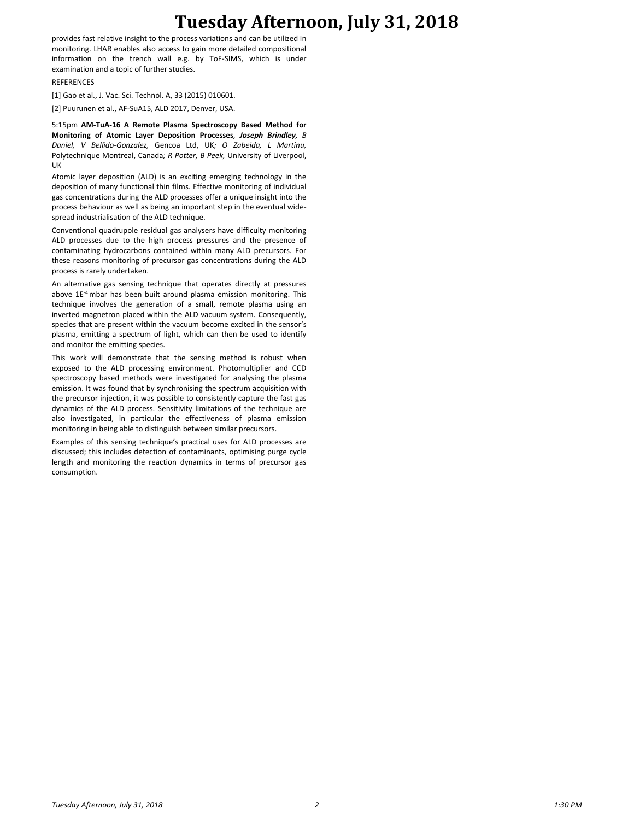## **Tuesday Afternoon, July 31, 2018**

provides fast relative insight to the process variations and can be utilized in monitoring. LHAR enables also access to gain more detailed compositional information on the trench wall e.g. by ToF-SIMS, which is under examination and a topic of further studies.

#### REFERENCES

[1] Gao et al., J. Vac. Sci. Technol. A, 33 (2015) 010601.

[2] Puurunen et al., AF-SuA15, ALD 2017, Denver, USA.

5:15pm **AM-TuA-16 A Remote Plasma Spectroscopy Based Method for Monitoring of Atomic Layer Deposition Processes***, Joseph Brindley, B Daniel, V Bellido-Gonzalez,* Gencoa Ltd, UK*; O Zabeida, L Martinu,*  Polytechnique Montreal, Canada*; R Potter, B Peek,* University of Liverpool, UK

Atomic layer deposition (ALD) is an exciting emerging technology in the deposition of many functional thin films. Effective monitoring of individual gas concentrations during the ALD processes offer a unique insight into the process behaviour as well as being an important step in the eventual widespread industrialisation of the ALD technique.

Conventional quadrupole residual gas analysers have difficulty monitoring ALD processes due to the high process pressures and the presence of contaminating hydrocarbons contained within many ALD precursors. For these reasons monitoring of precursor gas concentrations during the ALD process is rarely undertaken.

An alternative gas sensing technique that operates directly at pressures above 1E<sup>-4</sup> mbar has been built around plasma emission monitoring. This technique involves the generation of a small, remote plasma using an inverted magnetron placed within the ALD vacuum system. Consequently, species that are present within the vacuum become excited in the sensor's plasma, emitting a spectrum of light, which can then be used to identify and monitor the emitting species.

This work will demonstrate that the sensing method is robust when exposed to the ALD processing environment. Photomultiplier and CCD spectroscopy based methods were investigated for analysing the plasma emission. It was found that by synchronising the spectrum acquisition with the precursor injection, it was possible to consistently capture the fast gas dynamics of the ALD process. Sensitivity limitations of the technique are also investigated, in particular the effectiveness of plasma emission monitoring in being able to distinguish between similar precursors.

Examples of this sensing technique's practical uses for ALD processes are discussed; this includes detection of contaminants, optimising purge cycle length and monitoring the reaction dynamics in terms of precursor gas consumption.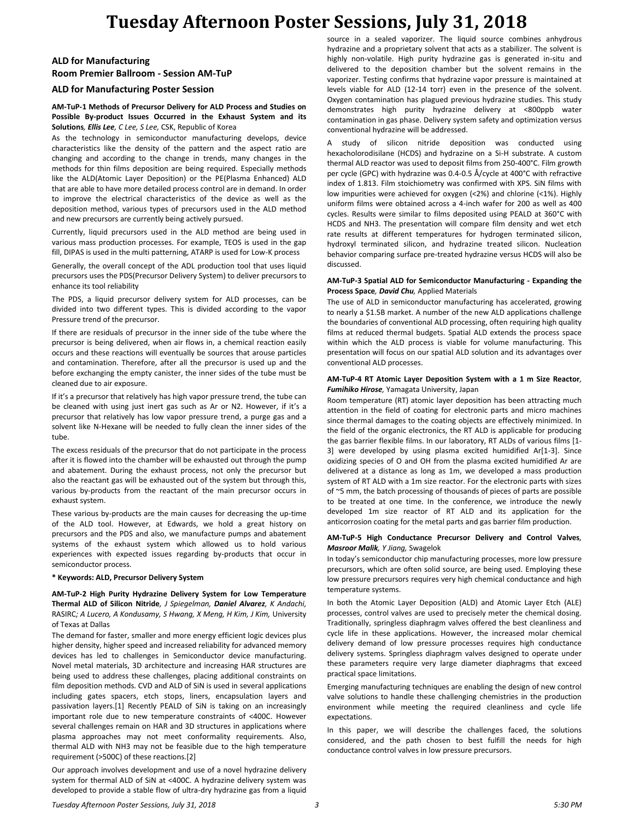# **Tuesday Afternoon Poster Sessions, July 31, 2018**

### **ALD for Manufacturing Room Premier Ballroom - Session AM-TuP**

#### **ALD for Manufacturing Poster Session**

#### **AM-TuP-1 Methods of Precursor Delivery for ALD Process and Studies on Possible By-product Issues Occurred in the Exhaust System and its Solutions***, Ellis Lee, C Lee, S Lee,* CSK, Republic of Korea

As the technology in semiconductor manufacturing develops, device characteristics like the density of the pattern and the aspect ratio are changing and according to the change in trends, many changes in the methods for thin films deposition are being required. Especially methods like the ALD(Atomic Layer Deposition) or the PE(Plasma Enhanced) ALD that are able to have more detailed process control are in demand. In order to improve the electrical characteristics of the device as well as the deposition method, various types of precursors used in the ALD method and new precursors are currently being actively pursued.

Currently, liquid precursors used in the ALD method are being used in various mass production processes. For example, TEOS is used in the gap fill, DIPAS is used in the multi patterning, ATARP is used for Low-K process

Generally, the overall concept of the ADL production tool that uses liquid precursors uses the PDS(Precursor Delivery System) to deliver precursors to enhance its tool reliability

The PDS, a liquid precursor delivery system for ALD processes, can be divided into two different types. This is divided according to the vapor Pressure trend of the precursor.

If there are residuals of precursor in the inner side of the tube where the precursor is being delivered, when air flows in, a chemical reaction easily occurs and these reactions will eventually be sources that arouse particles and contamination. Therefore, after all the precursor is used up and the before exchanging the empty canister, the inner sides of the tube must be cleaned due to air exposure.

If it's a precursor that relatively has high vapor pressure trend, the tube can be cleaned with using just inert gas such as Ar or N2. However, if it's a precursor that relatively has low vapor pressure trend, a purge gas and a solvent like N-Hexane will be needed to fully clean the inner sides of the tube.

The excess residuals of the precursor that do not participate in the process after it is flowed into the chamber will be exhausted out through the pump and abatement. During the exhaust process, not only the precursor but also the reactant gas will be exhausted out of the system but through this, various by-products from the reactant of the main precursor occurs in exhaust system.

These various by-products are the main causes for decreasing the up-time of the ALD tool. However, at Edwards, we hold a great history on precursors and the PDS and also, we manufacture pumps and abatement systems of the exhaust system which allowed us to hold various experiences with expected issues regarding by-products that occur in semiconductor process.

#### **\* Keywords: ALD, Precursor Delivery System**

**AM-TuP-2 High Purity Hydrazine Delivery System for Low Temperature Thermal ALD of Silicon Nitride***, J Spiegelman, Daniel Alvarez, K Andachi,*  RASIRC; A Lucero, A Kondusamy, S Hwang, X Meng, H Kim, J Kim, University of Texas at Dallas

The demand for faster, smaller and more energy efficient logic devices plus higher density, higher speed and increased reliability for advanced memory devices has led to challenges in Semiconductor device manufacturing. Novel metal materials, 3D architecture and increasing HAR structures are being used to address these challenges, placing additional constraints on film deposition methods. CVD and ALD of SiN is used in several applications including gates spacers, etch stops, liners, encapsulation layers and passivation layers.[1] Recently PEALD of SiN is taking on an increasingly important role due to new temperature constraints of <400C. However several challenges remain on HAR and 3D structures in applications where plasma approaches may not meet conformality requirements. Also, thermal ALD with NH3 may not be feasible due to the high temperature requirement (>500C) of these reactions.[2]

Our approach involves development and use of a novel hydrazine delivery system for thermal ALD of SiN at <400C. A hydrazine delivery system was developed to provide a stable flow of ultra-dry hydrazine gas from a liquid source in a sealed vaporizer. The liquid source combines anhydrous hydrazine and a proprietary solvent that acts as a stabilizer. The solvent is highly non-volatile. High purity hydrazine gas is generated in-situ and delivered to the deposition chamber but the solvent remains in the vaporizer. Testing confirms that hydrazine vapor pressure is maintained at levels viable for ALD (12-14 torr) even in the presence of the solvent. Oxygen contamination has plagued previous hydrazine studies. This study demonstrates high purity hydrazine delivery at <800ppb water contamination in gas phase. Delivery system safety and optimization versus conventional hydrazine will be addressed.

A study of silicon nitride deposition was conducted using hexacholorodisilane (HCDS) and hydrazine on a Si-H substrate. A custom thermal ALD reactor was used to deposit films from 250-400°C. Film growth per cycle (GPC) with hydrazine was 0.4-0.5 Å/cycle at 400°C with refractive index of 1.813. Film stoichiometry was confirmed with XPS. SiN films with low impurities were achieved for oxygen (<2%) and chlorine (<1%). Highly uniform films were obtained across a 4-inch wafer for 200 as well as 400 cycles. Results were similar to films deposited using PEALD at 360°C with HCDS and NH3. The presentation will compare film density and wet etch rate results at different temperatures for hydrogen terminated silicon, hydroxyl terminated silicon, and hydrazine treated silicon. Nucleation behavior comparing surface pre-treated hydrazine versus HCDS will also be discussed.

#### **AM-TuP-3 Spatial ALD for Semiconductor Manufacturing - Expanding the Process Space***, David Chu,* Applied Materials

The use of ALD in semiconductor manufacturing has accelerated, growing to nearly a \$1.5B market. A number of the new ALD applications challenge the boundaries of conventional ALD processing, often requiring high quality films at reduced thermal budgets. Spatial ALD extends the process space within which the ALD process is viable for volume manufacturing. This presentation will focus on our spatial ALD solution and its advantages over conventional ALD processes.

#### **AM-TuP-4 RT Atomic Layer Deposition System with a 1 m Size Reactor***, Fumihiko Hirose,* Yamagata University, Japan

Room temperature (RT) atomic layer deposition has been attracting much attention in the field of coating for electronic parts and micro machines since thermal damages to the coating objects are effectively minimized. In the field of the organic electronics, the RT ALD is applicable for producing the gas barrier flexible films. In our laboratory, RT ALDs of various films [1- 3] were developed by using plasma excited humidified Ar[1-3]. Since oxidizing species of O and OH from the plasma excited humidified Ar are delivered at a distance as long as 1m, we developed a mass production system of RT ALD with a 1m size reactor. For the electronic parts with sizes of ~5 mm, the batch processing of thousands of pieces of parts are possible to be treated at one time. In the conference, we introduce the newly developed 1m size reactor of RT ALD and its application for the anticorrosion coating for the metal parts and gas barrier film production.

#### **AM-TuP-5 High Conductance Precursor Delivery and Control Valves***, Masroor Malik, Y Jiang,* Swagelok

In today's semiconductor chip manufacturing processes, more low pressure precursors, which are often solid source, are being used. Employing these low pressure precursors requires very high chemical conductance and high temperature systems.

In both the Atomic Layer Deposition (ALD) and Atomic Layer Etch (ALE) processes, control valves are used to precisely meter the chemical dosing. Traditionally, springless diaphragm valves offered the best cleanliness and cycle life in these applications. However, the increased molar chemical delivery demand of low pressure processes requires high conductance delivery systems. Springless diaphragm valves designed to operate under these parameters require very large diameter diaphragms that exceed practical space limitations.

Emerging manufacturing techniques are enabling the design of new control valve solutions to handle these challenging chemistries in the production environment while meeting the required cleanliness and cycle life expectations.

In this paper, we will describe the challenges faced, the solutions considered, and the path chosen to best fulfill the needs for high conductance control valves in low pressure precursors.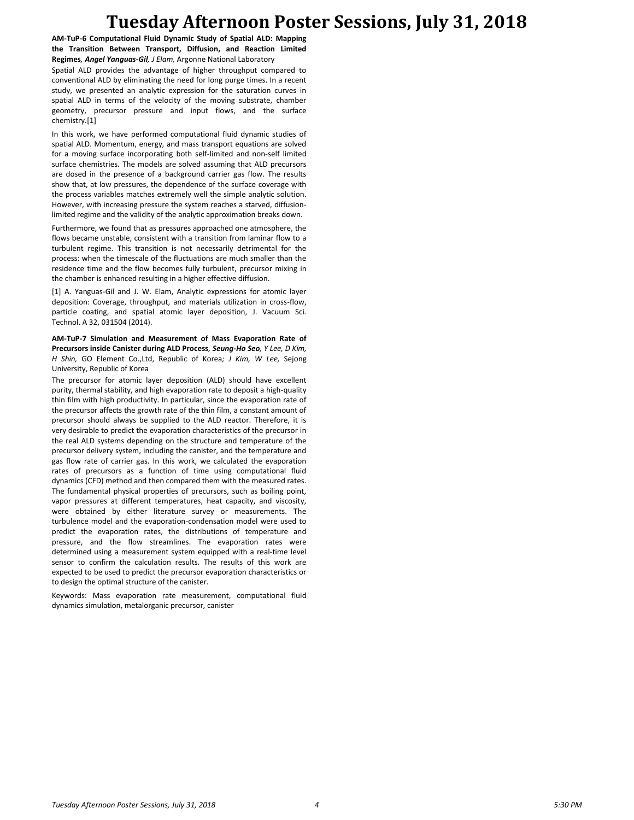## **Tuesday Afternoon Poster Sessions, July 31, 2018**

**AM-TuP-6 Computational Fluid Dynamic Study of Spatial ALD: Mapping the Transition Between Transport, Diffusion, and Reaction Limited Regimes***, Angel Yanguas-Gil, J Elam,* Argonne National Laboratory Spatial ALD provides the advantage of higher throughput compared to conventional ALD by eliminating the need for long purge times. In a recent study, we presented an analytic expression for the saturation curves in spatial ALD in terms of the velocity of the moving substrate, chamber geometry, precursor pressure and input flows, and the surface chemistry.[1]

In this work, we have performed computational fluid dynamic studies of spatial ALD. Momentum, energy, and mass transport equations are solved for a moving surface incorporating both self-limited and non-self limited surface chemistries. The models are solved assuming that ALD precursors are dosed in the presence of a background carrier gas flow. The results show that, at low pressures, the dependence of the surface coverage with the process variables matches extremely well the simple analytic solution. However, with increasing pressure the system reaches a starved, diffusionlimited regime and the validity of the analytic approximation breaks down.

Furthermore, we found that as pressures approached one atmosphere, the flows became unstable, consistent with a transition from laminar flow to a turbulent regime. This transition is not necessarily detrimental for the process: when the timescale of the fluctuations are much smaller than the residence time and the flow becomes fully turbulent, precursor mixing in the chamber is enhanced resulting in a higher effective diffusion.

[1] A. Yanguas-Gil and J. W. Elam, Analytic expressions for atomic layer deposition: Coverage, throughput, and materials utilization in cross-flow, particle coating, and spatial atomic layer deposition, J. Vacuum Sci. Technol. A 32, 031504 (2014).

**AM-TuP-7 Simulation and Measurement of Mass Evaporation Rate of Precursors inside Canister during ALD Process***, Seung-Ho Seo, Y Lee, D Kim, H Shin,* GO Element Co.,Ltd, Republic of Korea*; J Kim, W Lee,* Sejong University, Republic of Korea

The precursor for atomic layer deposition (ALD) should have excellent purity, thermal stability, and high evaporation rate to deposit a high-quality thin film with high productivity. In particular, since the evaporation rate of the precursor affects the growth rate of the thin film, a constant amount of precursor should always be supplied to the ALD reactor. Therefore, it is very desirable to predict the evaporation characteristics of the precursor in the real ALD systems depending on the structure and temperature of the precursor delivery system, including the canister, and the temperature and gas flow rate of carrier gas. In this work, we calculated the evaporation rates of precursors as a function of time using computational fluid dynamics (CFD) method and then compared them with the measured rates. The fundamental physical properties of precursors, such as boiling point, vapor pressures at different temperatures, heat capacity, and viscosity, were obtained by either literature survey or measurements. The turbulence model and the evaporation-condensation model were used to predict the evaporation rates, the distributions of temperature and pressure, and the flow streamlines. The evaporation rates were determined using a measurement system equipped with a real-time level sensor to confirm the calculation results. The results of this work are expected to be used to predict the precursor evaporation characteristics or to design the optimal structure of the canister.

Keywords: Mass evaporation rate measurement, computational fluid dynamics simulation, metalorganic precursor, canister